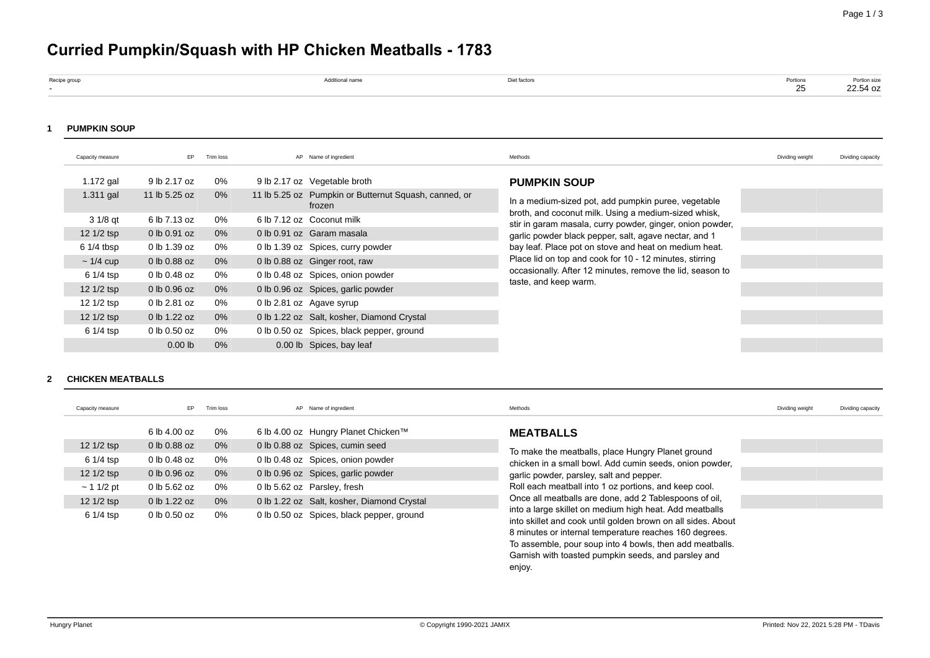# **Curried Pumpkin/Squash with HP Chicken Meatballs - 1783**

| Recipe group | Additional name | et ractors. | Portions |                          |
|--------------|-----------------|-------------|----------|--------------------------|
|              |                 |             | $\sim$   | Portion size<br>22.54 oz |
|              |                 |             |          |                          |

#### **1 PUMPKIN SOUP**

| Capacity measure     | EP               | Trim loss | AP Name of ingredient                                           | Methods                                                                                                           | Dividing weight | Dividing capacity |
|----------------------|------------------|-----------|-----------------------------------------------------------------|-------------------------------------------------------------------------------------------------------------------|-----------------|-------------------|
| $1.172$ gal          | 9 lb 2.17 oz     | 0%        | 9 lb 2.17 oz Vegetable broth                                    | <b>PUMPKIN SOUP</b>                                                                                               |                 |                   |
| $1.311$ gal          | 11 lb 5.25 oz    | 0%        | 11 lb 5.25 oz Pumpkin or Butternut Squash, canned, or<br>frozen | In a medium-sized pot, add pumpkin puree, vegetable                                                               |                 |                   |
| $31/8$ qt            | 6 lb 7.13 oz     | 0%        | 6 lb 7.12 oz Coconut milk                                       | broth, and coconut milk. Using a medium-sized whisk,<br>stir in garam masala, curry powder, ginger, onion powder, |                 |                   |
| $12 \frac{1}{2}$ tsp | $0$ lb $0.91$ oz | $0\%$     | 0 lb 0.91 oz Garam masala                                       | garlic powder black pepper, salt, agave nectar, and 1                                                             |                 |                   |
| $61/4$ tbsp          | 0 lb 1.39 oz     | 0%        | 0 lb 1.39 oz Spices, curry powder                               | bay leaf. Place pot on stove and heat on medium heat.                                                             |                 |                   |
| $\sim$ 1/4 cup       | 0 lb 0.88 oz     | $0\%$     | 0 lb 0.88 oz Ginger root, raw                                   | Place lid on top and cook for 10 - 12 minutes, stirring                                                           |                 |                   |
| 6 1/4 tsp            | 0 lb 0.48 oz     | 0%        | 0 lb 0.48 oz Spices, onion powder                               | occasionally. After 12 minutes, remove the lid, season to                                                         |                 |                   |
| 12 1/2 tsp           | 0 lb 0.96 oz     | $0\%$     | 0 lb 0.96 oz Spices, garlic powder                              | taste, and keep warm.                                                                                             |                 |                   |
| 12 1/2 tsp           | 0 lb 2.81 oz     | 0%        | 0 lb 2.81 oz Agave syrup                                        |                                                                                                                   |                 |                   |
| $12 \frac{1}{2}$ tsp | 0 lb 1.22 oz     | 0%        | 0 lb 1.22 oz Salt, kosher, Diamond Crystal                      |                                                                                                                   |                 |                   |
| 6 1/4 tsp            | 0 lb 0.50 oz     | 0%        | 0 lb 0.50 oz Spices, black pepper, ground                       |                                                                                                                   |                 |                   |
|                      | $0.00$ lb        | 0%        | 0.00 lb Spices, bay leaf                                        |                                                                                                                   |                 |                   |

#### **2 CHICKEN MEATBALLS**

| Capacity measure                        | EP                           | Trim loss   | AP Name of ingredient                                                                   | Methods                                                                                                                                                                                                                                             | Dividing weight | Dividing capacity |
|-----------------------------------------|------------------------------|-------------|-----------------------------------------------------------------------------------------|-----------------------------------------------------------------------------------------------------------------------------------------------------------------------------------------------------------------------------------------------------|-----------------|-------------------|
| 12 1/2 tsp                              | 6 lb 4.00 oz<br>0 lb 0.88 oz | 0%<br>$0\%$ | 6 lb 4.00 oz Hungry Planet Chicken™<br>0 lb 0.88 oz Spices, cumin seed                  | <b>MEATBALLS</b>                                                                                                                                                                                                                                    |                 |                   |
| 6 1/4 tsp                               | 0 lb 0.48 oz                 | 0%          | 0 lb 0.48 oz Spices, onion powder                                                       | To make the meatballs, place Hungry Planet ground<br>chicken in a small bowl. Add cumin seeds, onion powder,                                                                                                                                        |                 |                   |
| $12 \frac{1}{2}$ tsp<br>$\sim$ 1 1/2 pt | 0 lb 0.96 oz<br>0 lb 5.62 oz | $0\%$<br>0% | 0 lb 0.96 oz Spices, garlic powder<br>0 lb 5.62 oz Parsley, fresh                       | garlic powder, parsley, salt and pepper.<br>Roll each meatball into 1 oz portions, and keep cool.                                                                                                                                                   |                 |                   |
| 12 1/2 tsp<br>6 1/4 tsp                 | 0 lb 1.22 oz<br>0 lb 0.50 oz | $0\%$<br>0% | 0 lb 1.22 oz Salt, kosher, Diamond Crystal<br>0 lb 0.50 oz Spices, black pepper, ground | Once all meatballs are done, add 2 Tablespoons of oil,<br>into a large skillet on medium high heat. Add meatballs                                                                                                                                   |                 |                   |
|                                         |                              |             |                                                                                         | into skillet and cook until golden brown on all sides. About<br>8 minutes or internal temperature reaches 160 degrees.<br>To assemble, pour soup into 4 bowls, then add meatballs.<br>Garnish with toasted pumpkin seeds, and parsley and<br>enjoy. |                 |                   |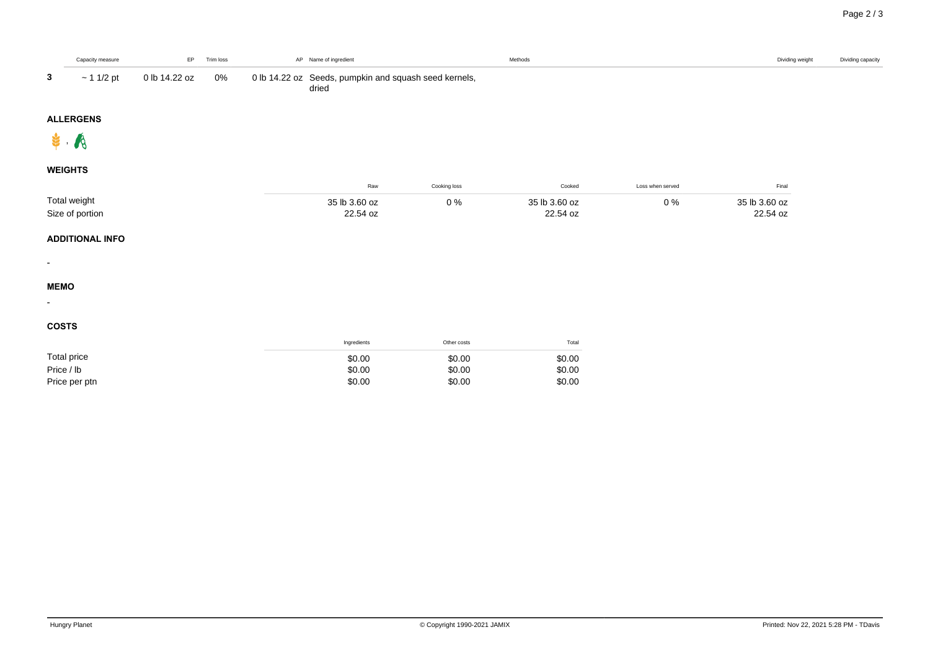|                | Capacity measure | EP            | Trim loss | AP Name of ingredient                                          | Methods | Dividing weight | Dividing capacity |
|----------------|------------------|---------------|-----------|----------------------------------------------------------------|---------|-----------------|-------------------|
| 3              | $\sim$ 1 1/2 pt  | 0 lb 14.22 oz | 0%        | 0 lb 14.22 oz Seeds, pumpkin and squash seed kernels,<br>dried |         |                 |                   |
|                | <b>ALLERGENS</b> |               |           |                                                                |         |                 |                   |
| $\mathbf{r}$ . |                  |               |           |                                                                |         |                 |                   |

## **WEIGHTS**

|                 | Kav      | Cooking loss        | Cooker <sup>'</sup>          | Loss when served |               |
|-----------------|----------|---------------------|------------------------------|------------------|---------------|
| Total weight    | 3.60 oz  | ∩ 0/<br><b>U</b> /0 | っこ<br>$\overline{b}$ 3.60 oz | U %              | 35 lb 3.60 oz |
| Size of portion | 22.54 oz |                     | 22.54 oz                     |                  | 22.54 oz      |

#### **ADDITIONAL INFO**

-

-

# **MEMO**

### **COSTS**

|               | Ingredients | Other costs | Total  |
|---------------|-------------|-------------|--------|
| Total price   | \$0.00      | \$0.00      | \$0.00 |
| Price / lb    | \$0.00      | \$0.00      | \$0.00 |
| Price per ptn | \$0.00      | \$0.00      | \$0.00 |